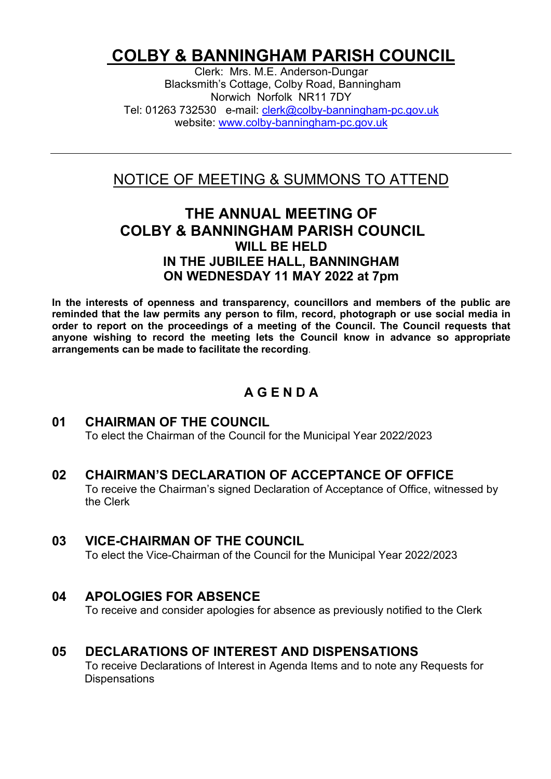# **COLBY & BANNINGHAM PARISH COUNCIL**

Clerk: Mrs. M.E. Anderson-Dungar Blacksmith's Cottage, Colby Road, Banningham Norwich Norfolk NR11 7DY Tel: 01263 732530 e-mail: [clerk@colby-banningham-pc.gov.uk](mailto:clerk@colby-banningham-pc.gov.uk) website: [www.colby-banningham-pc.gov.uk](http://www.colby-banningham-pc.gov.uk/)

# NOTICE OF MEETING & SUMMONS TO ATTEND

# **THE ANNUAL MEETING OF COLBY & BANNINGHAM PARISH COUNCIL WILL BE HELD IN THE JUBILEE HALL, BANNINGHAM ON WEDNESDAY 11 MAY 2022 at 7pm**

**In the interests of openness and transparency, councillors and members of the public are reminded that the law permits any person to film, record, photograph or use social media in order to report on the proceedings of a meeting of the Council. The Council requests that anyone wishing to record the meeting lets the Council know in advance so appropriate arrangements can be made to facilitate the recording**.

# **A G E N D A**

#### **01 CHAIRMAN OF THE COUNCIL** To elect the Chairman of the Council for the Municipal Year 2022/2023

#### **02 CHAIRMAN'S DECLARATION OF ACCEPTANCE OF OFFICE** To receive the Chairman's signed Declaration of Acceptance of Office, witnessed by the Clerk

#### **03 VICE-CHAIRMAN OF THE COUNCIL**

To elect the Vice-Chairman of the Council for the Municipal Year 2022/2023

# **04 APOLOGIES FOR ABSENCE**

To receive and consider apologies for absence as previously notified to the Clerk

#### **05 DECLARATIONS OF INTEREST AND DISPENSATIONS**

To receive Declarations of Interest in Agenda Items and to note any Requests for **Dispensations**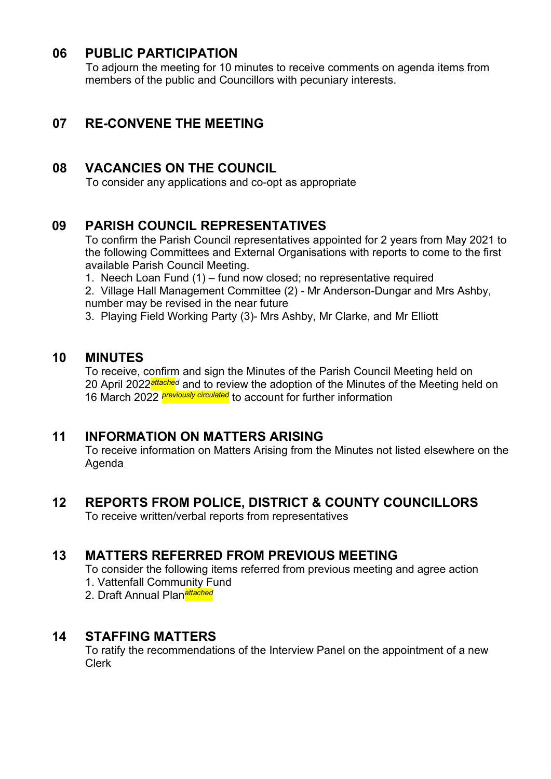#### **06 PUBLIC PARTICIPATION**

To adjourn the meeting for 10 minutes to receive comments on agenda items from members of the public and Councillors with pecuniary interests.

# **07 RE-CONVENE THE MEETING**

#### **08 VACANCIES ON THE COUNCIL**

To consider any applications and co-opt as appropriate

# **09 PARISH COUNCIL REPRESENTATIVES**

To confirm the Parish Council representatives appointed for 2 years from May 2021 to the following Committees and External Organisations with reports to come to the first available Parish Council Meeting.

1. Neech Loan Fund (1) – fund now closed; no representative required

2. Village Hall Management Committee (2) - Mr Anderson-Dungar and Mrs Ashby, number may be revised in the near future

3. Playing Field Working Party (3)- Mrs Ashby, Mr Clarke, and Mr Elliott

#### **10 MINUTES**

To receive, confirm and sign the Minutes of the Parish Council Meeting held on 20 April 2022*attached* and to review the adoption of the Minutes of the Meeting held on 16 March 2022 *previously circulated* to account for further information

#### **11 INFORMATION ON MATTERS ARISING**

To receive information on Matters Arising from the Minutes not listed elsewhere on the Agenda

# **12 REPORTS FROM POLICE, DISTRICT & COUNTY COUNCILLORS**

To receive written/verbal reports from representatives

# **13 MATTERS REFERRED FROM PREVIOUS MEETING**

To consider the following items referred from previous meeting and agree action 1. Vattenfall Community Fund

2. Draft Annual Plan*attached*

#### **14 STAFFING MATTERS**

To ratify the recommendations of the Interview Panel on the appointment of a new Clerk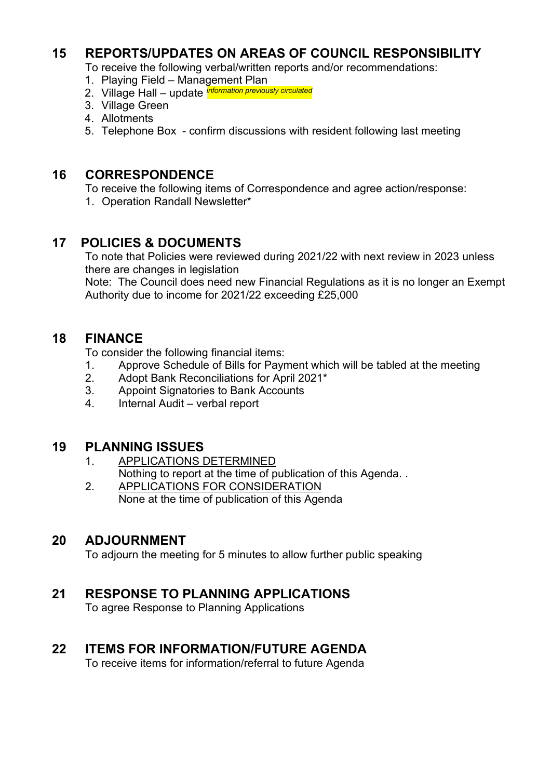# **15 REPORTS/UPDATES ON AREAS OF COUNCIL RESPONSIBILITY**

To receive the following verbal/written reports and/or recommendations:

- 1. Playing Field Management Plan
- 2. Village Hall update *information previously circulated*
- 3. Village Green
- 4. Allotments
- 5. Telephone Box confirm discussions with resident following last meeting

# **16 CORRESPONDENCE**

To receive the following items of Correspondence and agree action/response:

1. Operation Randall Newsletter\*

# **17 POLICIES & DOCUMENTS**

To note that Policies were reviewed during 2021/22 with next review in 2023 unless there are changes in legislation

Note: The Council does need new Financial Regulations as it is no longer an Exempt Authority due to income for 2021/22 exceeding £25,000

#### **18 FINANCE**

To consider the following financial items:

- 1. Approve Schedule of Bills for Payment which will be tabled at the meeting
- 2. Adopt Bank Reconciliations for April 2021\*
- 3. Appoint Signatories to Bank Accounts<br>4 Internal Audit verbal report
- 4. Internal Audit verbal report

# **19 PLANNING ISSUES**

- APPLICATIONS DETERMINED
	- Nothing to report at the time of publication of this Agenda. .
- 2. APPLICATIONS FOR CONSIDERATION None at the time of publication of this Agenda

#### **20 ADJOURNMENT**

To adjourn the meeting for 5 minutes to allow further public speaking

# **21 RESPONSE TO PLANNING APPLICATIONS**

To agree Response to Planning Applications

# **22 ITEMS FOR INFORMATION/FUTURE AGENDA**

To receive items for information/referral to future Agenda